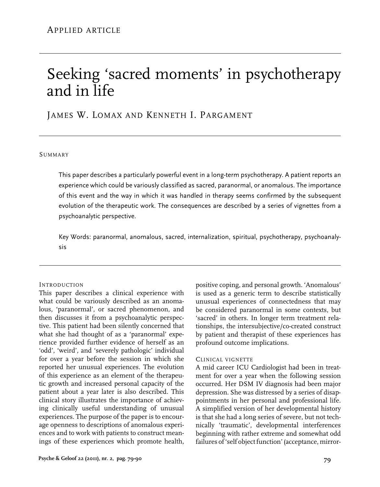# Seeking 'sacred moments' in psychotherapy and in life

James W. Lomax and Kenneth I. Pargament

#### **SUMMARY**

This paper describes a particularly powerful event in a long-term psychotherapy. A patient reports an experience which could be variously classified as sacred, paranormal, or anomalous. The importance of this event and the way in which it was handled in therapy seems confirmed by the subsequent evolution of the therapeutic work. The consequences are described by a series of vignettes from a psychoanalytic perspective.

Key Words: paranormal, anomalous, sacred, internalization, spiritual, psychotherapy, psychoanalysis

## **INTRODUCTION**

This paper describes a clinical experience with what could be variously described as an anomalous, 'paranormal', or sacred phenomenon, and then discusses it from a psychoanalytic perspective. This patient had been silently concerned that what she had thought of as a 'paranormal' experience provided further evidence of herself as an 'odd', 'weird', and 'severely pathologic' individual for over a year before the session in which she reported her unusual experiences. The evolution of this experience as an element of the therapeutic growth and increased personal capacity of the patient about a year later is also described. This clinical story illustrates the importance of achieving clinically useful understanding of unusual experiences. The purpose of the paper is to encourage openness to descriptions of anomalous experiences and to work with patients to construct meanings of these experiences which promote health, positive coping, and personal growth. 'Anomalous' is used as a generic term to describe statistically unusual experiences of connectedness that may be considered paranormal in some contexts, but 'sacred' in others. In longer term treatment relationships, the intersubjective/co-created construct by patient and therapist of these experiences has profound outcome implications.

## Clinical vignette

A mid career ICU Cardiologist had been in treatment for over a year when the following session occurred. Her DSM IV diagnosis had been major depression. She was distressed by a series of disappointments in her personal and professional life. A simplified version of her developmental history is that she had a long series of severe, but not technically 'traumatic', developmental interferences beginning with rather extreme and somewhat odd failures of 'self object function' (acceptance, mirror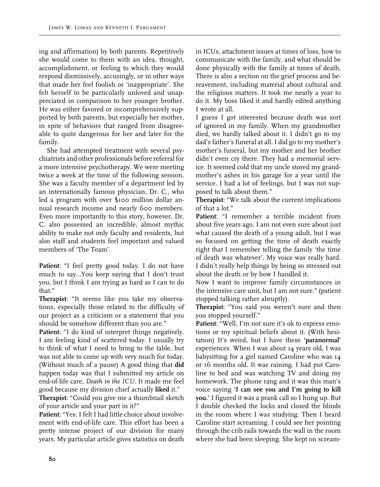ing and affirmation) by both parents. Repetitively she would come to them with an idea, thought, accomplishment, or feeling to which they would respond dismissively, accusingly, or in other ways that made her feel foolish or 'inappropriate'. She felt herself to be particularly unloved and unappreciated in comparison to her younger brother. He was either favored or incomprehensively supported by both parents, but especially her mother, in spite of behaviors that ranged from disagreeable to quite dangerous for her and later for the family.

She had attempted treatment with several psychiatrists and other professionals before referral for a more intensive psychotherapy. We were meeting twice a week at the time of the following session. She was a faculty member of a department led by an internationally famous physician, Dr. C., who led a program with over \$100 million dollar annual research income and nearly 600 members. Even more importantly to this story, however, Dr. C. also possessed an incredible, almost mythic ability to make not only faculty and residents, but also staff and students feel important and valued members of 'The Team'.

**Patient**: "I feel pretty good today. I do not have much to say…You keep saying that I don't trust you, but I think I am trying as hard as I can to do that."

**Therapist**: "It seems like you take my observations, especially those related to the difficulty of our project as a criticism or a statement that you should be somehow different than you are."

Patient: "I do kind of interpret things negatively. I am feeling kind of scattered today. I usually try to think of what I need to bring to the table, but was not able to come up with very much for today. (Without much of a pause) A good thing that **did**  happen today was that I submitted my article on end-of-life care, *Death in the ICU.* It made me feel good because my division chief actually **liked** it."

**Therapist**: "Could you give me a thumbnail sketch of your article and your part in it?"

**Patient**: "Yes. I felt I had little choice about involvement with end-of-life care. This effort has been a pretty intense project of our division for many years. My particular article gives statistics on death in ICUs, attachment issues at times of loss, how to communicate with the family, and what should be done physically with the family at times of death. There is also a section on the grief process and bereavement, including material about cultural and the religious matters. It took me nearly a year to do it. My boss liked it and hardly edited anything I wrote at all.

I guess I got interested because death was sort of ignored in my family. When my grandmother died, we hardly talked about it. I didn't go to my dad's father's funeral at all. I did go to my mother's mother's funeral, but my mother and her brother didn't even cry there. They had a memorial service. It seemed cold that my uncle stored my grandmother's ashes in his garage for a year until the service. I had a lot of feelings, but I was not supposed to talk about them."

**Therapist**: "We talk about the current implications of that a lot."

**Patient**: "I remember a terrible incident from about five years ago. I am not even sure about just what caused the death of a young adult, but I was so focused on getting the time of death exactly right that I remember telling the family 'the time of death was whatever'. My voice was really hard. I didn't really help things by being so stressed out about the death or by how I handled it.

Now I want to improve family circumstances in the intensive care unit, but I am not sure." (patient stopped talking rather abruptly).

**Therapist**: "You said you weren't sure and then you stopped yourself."

**Patient**: "Well, I'm not sure it's ok to express emotions or my spiritual beliefs about it. (With hesitation) It's weird, but I have these **'paranormal'** experiences. When I was about 14 years old, I was babysitting for a girl named Caroline who was 14 or 16 months old. It was raining. I had put Caroline to bed and was watching TV and doing my homework. The phone rang and it was this man's voice saying **'I can see you and I'm going to kill you.'** I figured it was a prank call so I hung up. But I double checked the locks and closed the blinds in the room where I was studying. Then I heard Caroline start screaming. I could see her pointing through the crib rails towards the wall in the room where she had been sleeping. She kept on scream-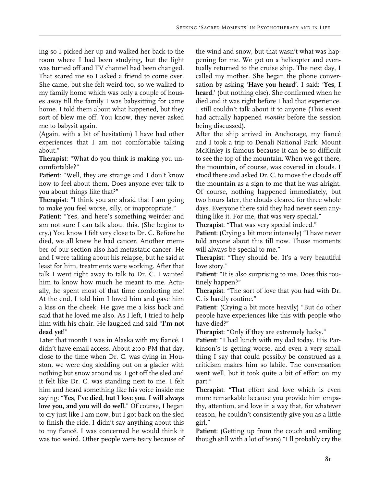ing so I picked her up and walked her back to the room where I had been studying, but the light was turned off and TV channel had been changed. That scared me so I asked a friend to come over. She came, but she felt weird too, so we walked to my family home which was only a couple of houses away till the family I was babysitting for came home. I told them about what happened, but they sort of blew me off. You know, they never asked me to babysit again.

(Again, with a bit of hesitation) I have had other experiences that I am not comfortable talking about."

**Therapist**: "What do you think is making you uncomfortable?"

**Patient**: "Well, they are strange and I don't know how to feel about them. Does anyone ever talk to you about things like that?"

**Therapist**: "I think you are afraid that I am going to make you feel worse, silly, or inappropriate."

**Patient**: "Yes, and here's something weirder and am not sure I can talk about this. (She begins to cry.) You know I felt very close to Dr. C. Before he died, we all knew he had cancer. Another member of our section also had metastatic cancer. He and I were talking about his relapse, but he said at least for him, treatments were working. After that talk I went right away to talk to Dr. C. I wanted him to know how much he meant to me. Actually, he spent most of that time comforting me! At the end, I told him I loved him and gave him a kiss on the cheek. He gave me a kiss back and said that he loved me also. As I left, I tried to help him with his chair. He laughed and said "**I'm not dead yet!**"

Later that month I was in Alaska with my fiancé. I didn't have email access. About 2:00 PM that day, close to the time when Dr. C. was dying in Houston, we were dog sledding out on a glacier with nothing but snow around us. I got off the sled and it felt like Dr. C. was standing next to me. I felt him and heard something like his voice inside me saying: "**Yes, I've died, but I love you. I will always love you, and you will do well.**" Of course, I began to cry just like I am now, but I got back on the sled to finish the ride. I didn't say anything about this to my fiancé. I was concerned he would think it was too weird. Other people were teary because of

the wind and snow, but that wasn't what was happening for me. We got on a helicopter and eventually returned to the cruise ship. The next day, I called my mother. She began the phone conversation by asking '**Have you heard'.** I said: '**Yes, I heard**.' (but nothing else). She confirmed when he died and it was right before I had that experience. I still couldn't talk about it to anyone (This event had actually happened *months* before the session being discussed).

After the ship arrived in Anchorage, my fiancé and I took a trip to Denali National Park. Mount McKinley is famous because it can be so difficult to see the top of the mountain. When we got there, the mountain, of course, was covered in clouds. I stood there and asked Dr. C. to move the clouds off the mountain as a sign to me that he was alright. Of course, nothing happened immediately, but two hours later, the clouds cleared for three whole days. Everyone there said they had never seen anything like it. For me, that was very special."

**Therapist**: "That was very special indeed."

**Patient**: (Crying a bit more intensely) "I have never told anyone about this till now. Those moments will always be special to me."

**Therapist**: "They should be. It's a very beautiful love story."

**Patient**: "It is also surprising to me. Does this routinely happen?"

**Therapist**: "The sort of love that you had with Dr. C. is hardly routine."

**Patient**: (Crying a bit more heavily) "But do other people have experiences like this with people who have died?"

**Therapist**: "Only if they are extremely lucky."

**Patient**: "I had lunch with my dad today. His Parkinson's is getting worse, and even a very small thing I say that could possibly be construed as a criticism makes him so labile. The conversation went well, but it took quite a bit of effort on my part."

**Therapist**: "That effort and love which is even more remarkable because you provide him empathy, attention, and love in a way that, for whatever reason, he couldn't consistently give you as a little girl."

**Patient**: (Getting up from the couch and smiling though still with a lot of tears) "I'll probably cry the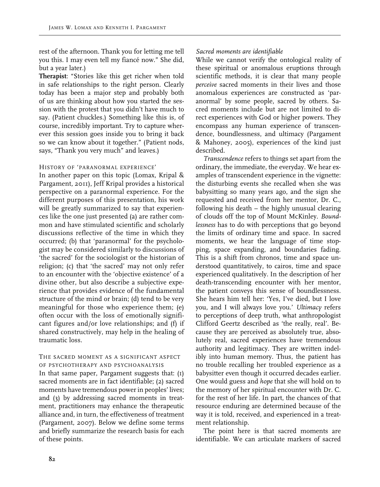rest of the afternoon. Thank you for letting me tell you this. I may even tell my fiancé now." She did, but a year later.)

**Therapist**: "Stories like this get richer when told in safe relationships to the right person. Clearly today has been a major step and probably both of us are thinking about how you started the session with the protest that you didn't have much to say. (Patient chuckles.) Something like this is, of course, incredibly important. Try to capture wherever this session goes inside you to bring it back so we can know about it together." (Patient nods, says, "Thank you very much" and leaves.)

## History of 'paranormal experience'

In another paper on this topic (Lomax, Kripal & Pargament, 2011), Jeff Kripal provides a historical perspective on a paranormal experience. For the different purposes of this presentation, his work will be greatly summarized to say that experiences like the one just presented (a) are rather common and have stimulated scientific and scholarly discussions reflective of the time in which they occurred; (b) that 'paranormal' for the psychologist may be considered similarly to discussions of 'the sacred' for the sociologist or the historian of religion; (c) that 'the sacred' may not only refer to an encounter with the 'objective existence' of a divine other, but also describe a subjective experience that provides evidence of the fundamental structure of the mind or brain; (d) tend to be very meaningful for those who experience them; (e) often occur with the loss of emotionally significant figures and/or love relationships; and (f) if shared constructively, may help in the healing of traumatic loss.

#### The sacred moment as a significant aspect of psychotherapy and psychoanalysis

In that same paper, Pargament suggests that: (1) sacred moments are in fact identifiable; (2) sacred moments have tremendous power in peoples' lives; and (3) by addressing sacred moments in treatment, practitioners may enhance the therapeutic alliance and, in turn, the effectiveness of treatment (Pargament, 2007). Below we define some terms and briefly summarize the research basis for each of these points.

# *Sacred moments are identifiable*

While we cannot verify the ontological reality of these spiritual or anomalous eruptions through scientific methods, it is clear that many people *perceive* sacred moments in their lives and those anomalous experiences are constructed as 'paranormal' by some people, sacred by others. Sacred moments include but are not limited to direct experiences with God or higher powers. They encompass any human experience of transcendence, boundlessness, and ultimacy (Pargament & Mahoney, 2005), experiences of the kind just described.

*Transcendence* refers to things set apart from the ordinary, the immediate, the everyday. We hear examples of transcendent experience in the vignette: the disturbing events she recalled when she was babysitting so many years ago, and the sign she requested and received from her mentor, Dr. C., following his death – the highly unusual clearing of clouds off the top of Mount McKinley. *Boundlessness* has to do with perceptions that go beyond the limits of ordinary time and space. In sacred moments, we hear the language of time stopping, space expanding, and boundaries fading. This is a shift from chronos, time and space understood quantitatively, to cairos, time and space experienced qualitatively. In the description of her death-transcending encounter with her mentor, the patient conveys this sense of boundlessness. She hears him tell her: 'Yes, I've died, but I love you, and I will always love you.' *Ultimacy* refers to perceptions of deep truth, what anthropologist Clifford Geertz described as 'the really, real'. Because they are perceived as absolutely true, absolutely real, sacred experiences have tremendous authority and legitimacy. They are written indelibly into human memory. Thus, the patient has no trouble recalling her troubled experience as a babysitter even though it occurred decades earlier. One would guess and *hope* that she will hold on to the memory of her spiritual encounter with Dr. C. for the rest of her life. In part, the chances of that resource enduring are determined because of the way it is told, received, and experienced in a treatment relationship.

The point here is that sacred moments are identifiable. We can articulate markers of sacred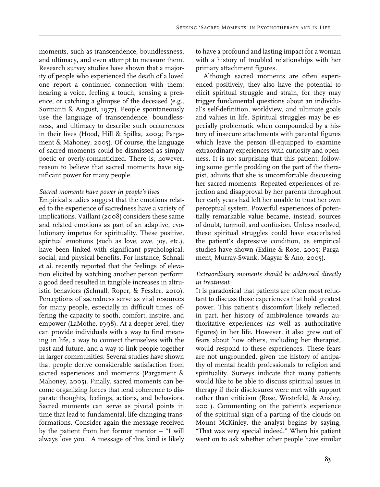moments, such as transcendence, boundlessness, and ultimacy, and even attempt to measure them. Research survey studies have shown that a majority of people who experienced the death of a loved one report a continued connection with them: hearing a voice, feeling a touch, sensing a presence, or catching a glimpse of the deceased (e.g., Sormanti & August, 1977). People spontaneously use the language of transcendence, boundlessness, and ultimacy to describe such occurrences in their lives (Hood, Hill & Spilka, 2009; Pargament & Mahoney, 2005). Of course, the language of sacred moments could be dismissed as simply poetic or overly-romanticized. There is, however, reason to believe that sacred moments have significant power for many people.

#### *Sacred moments have power in people's lives*

Empirical studies suggest that the emotions related to the experience of sacredness have a variety of implications. Vaillant (2008) considers these same and related emotions as part of an adaptive, evolutionary impetus for spirituality. These positive, spiritual emotions (such as love, awe, joy, etc.), have been linked with significant psychological, social, and physical benefits. For instance, Schnall *et al.* recently reported that the feelings of elevation elicited by watching another person perform a good deed resulted in tangible increases in altruistic behaviors (Schnall, Roper, & Fessler, 2010). Perceptions of sacredness serve as vital resources for many people, especially in difficult times, offering the capacity to sooth, comfort, inspire, and empower (LaMothe, 1998). At a deeper level, they can provide individuals with a way to find meaning in life, a way to connect themselves with the past and future, and a way to link people together in larger communities. Several studies have shown that people derive considerable satisfaction from sacred experiences and moments (Pargament & Mahoney, 2005). Finally, sacred moments can become organizing forces that lend coherence to disparate thoughts, feelings, actions, and behaviors. Sacred moments can serve as pivotal points in time that lead to fundamental, life-changing transformations. Consider again the message received by the patient from her former mentor – "I will always love you." A message of this kind is likely

to have a profound and lasting impact for a woman with a history of troubled relationships with her primary attachment figures.

Although sacred moments are often experienced positively, they also have the potential to elicit spiritual struggle and strain, for they may trigger fundamental questions about an individual's self-definition, worldview, and ultimate goals and values in life. Spiritual struggles may be especially problematic when compounded by a history of insecure attachments with parental figures which leave the person ill-equipped to examine extraordinary experiences with curiosity and openness. It is not surprising that this patient, following some gentle prodding on the part of the therapist, admits that she is uncomfortable discussing her sacred moments. Repeated experiences of rejection and disapproval by her parents throughout her early years had left her unable to trust her own perceptual system. Powerful experiences of potentially remarkable value became, instead, sources of doubt, turmoil, and confusion. Unless resolved, these spiritual struggles could have exacerbated the patient's depressive condition, as empirical studies have shown (Exline & Rose, 2005; Pargament, Murray-Swank, Magyar & Ano, 2005).

# *Extraordinary moments should be addressed directly in treatment*

It is paradoxical that patients are often most reluctant to discuss those experiences that hold greatest power. This patient's discomfort likely reflected, in part, her history of ambivalence towards authoritative experiences (as well as authoritative figures) in her life. However, it also grew out of fears about how others, including her therapist, would respond to these experiences. These fears are not ungrounded, given the history of antipathy of mental health professionals to religion and spirituality. Surveys indicate that many patients would like to be able to discuss spiritual issues in therapy if their disclosures were met with support rather than criticism (Rose, Westefeld, & Ansley, 2001). Commenting on the patient's experience of the spiritual sign of a parting of the clouds on Mount McKinley, the analyst begins by saying, "That was very special indeed." When his patient went on to ask whether other people have similar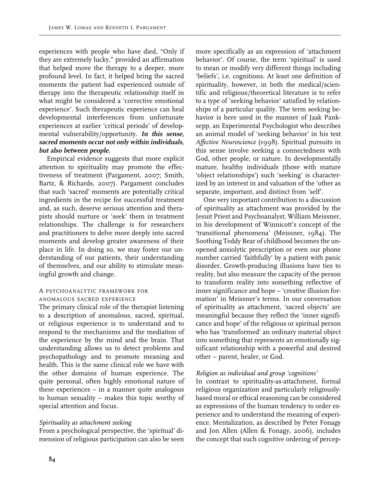experiences with people who have died, "Only if they are extremely lucky," provided an affirmation that helped move the therapy to a deeper, more profound level. In fact, it helped bring the sacred moments the patient had experienced outside of therapy into the therapeutic relationship itself in what might be considered a 'corrective emotional experience'. Such therapeutic experience can heal developmental interferences from unfortunate experiences at earlier 'critical periods' of developmental vulnerability/opportunity. **In this sense, sacred moments occur not only within individuals, but also between people.**

Empirical evidence suggests that more explicit attention to spirituality may promote the effectiveness of treatment (Pargament, 2007; Smith, Bartz, & Richards, 2007). Pargament concludes that such 'sacred' moments are potentially critical ingredients in the recipe for successful treatment and, as such, deserve serious attention and therapists should nurture or 'seek' them in treatment relationships. The challenge is for researchers and practitioners to delve more deeply into sacred moments and develop greater awareness of their place in life. In doing so, we may foster our understanding of our patients, their understanding of themselves, and our ability to stimulate meaningful growth and change.

## A psychoanalytic framework for anomalous sacred experience

The primary clinical role of the therapist listening to a description of anomalous, sacred, spiritual, or religious experience is to understand and to respond to the mechanisms and the mediation of the experience by the mind and the brain. That understanding allows us to detect problems and psychopathology and to promote meaning and health. This is the same clinical role we have with the other domains of human experience. The quite personal, often highly emotional nature of these experiences – in a manner quite analogous to human sexuality – makes this topic worthy of special attention and focus.

# *Spirituality as attachment seeking*

From a psychological perspective, the 'spiritual' dimension of religious participation can also be seen more specifically as an expression of 'attachment behavior'. Of course, the term 'spiritual' is used to mean or modify very different things including 'beliefs', i.e. cognitions. At least one definition of spirituality, however, in both the medical/scientific and religious/theoretical literature is to refer to a type of 'seeking behavior' satisfied by relationships of a particular quality. The term seeking behavior is here used in the manner of Jaak Panksepp, an Experimental Psychologist who describes an animal model of 'seeking behavior' in his text *Affective Neuroscience* (1998). Spiritual pursuits in this sense involve seeking a connectedness with God, other people, or nature. In developmentally mature, healthy individuals (those with mature 'object relationships') such 'seeking' is characterized by an interest in and valuation of the 'other as separate, important, and distinct from 'self'.

One very important contribution to a discussion of spirituality as attachment was provided by the Jesuit Priest and Psychoanalyst, William Meissner, in his development of Winnicott's concept of the 'transitional phenomena' (Meissner, 1984). The Soothing Teddy Bear of childhood becomes the unopened anxiolytic prescription or even our phone number carried 'faithfully' by a patient with panic disorder. Growth-producing illusions have ties to reality, but also measure the capacity of the person to transform reality into something reflective of inner significance and hope – 'creative illusion formation' in Meissner's terms. In our conversation of spirituality as attachment, 'sacred objects' are meaningful because they reflect the 'inner significance and hope' of the religious or spiritual person who has 'transformed' an ordinary material object into something that represents an emotionally significant relationship with a powerful and desired other – parent, healer, or God.

## *Religion as individual and group 'cognitions'*

In contrast to spirituality-as-attachment, formal religious organization and particularly religiouslybased moral or ethical reasoning can be considered as expressions of the human tendency to order experience and to understand the meaning of experience. Mentalization, as described by Peter Fonagy and Jon Allen (Allen & Fonagy, 2006), includes the concept that such cognitive ordering of percep-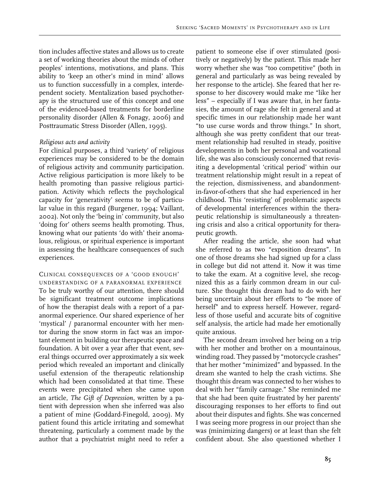tion includes affective states and allows us to create a set of working theories about the minds of other peoples' intentions, motivations, and plans. This ability to 'keep an other's mind in mind' allows us to function successfully in a complex, interdependent society. Mentalization based psychotherapy is the structured use of this concept and one of the evidenced-based treatments for borderline personality disorder (Allen & Fonagy, 2006) and Posttraumatic Stress Disorder (Allen, 1995).

#### *Religious acts and activity*

For clinical purposes, a third 'variety' of religious experiences may be considered to be the domain of religious activity and community participation. Active religious participation is more likely to be health promoting than passive religious participation. Activity which reflects the psychological capacity for 'generativity' seems to be of particular value in this regard (Burgener, 1994; Vaillant, 2002). Not only the 'being in' community, but also 'doing for' others seems health promoting. Thus, knowing what our patients 'do with' their anomalous, religious, or spiritual experience is important in assessing the healthcare consequences of such experiences.

## Clinical consequences of a 'good enough'

understanding of a paranormal experience To be truly worthy of our attention, there should be significant treatment outcome implications of how the therapist deals with a report of a paranormal experience. Our shared experience of her 'mystical' / paranormal encounter with her mentor during the snow storm in fact was an important element in building our therapeutic space and foundation. A bit over a year after that event, several things occurred over approximately a six week period which revealed an important and clinically useful extension of the therapeutic relationship which had been consolidated at that time. These events were precipitated when she came upon an article, *The Gift of Depression*, written by a patient with depression when she inferred was also a patient of mine (Goddard-Finegold, 2009). My patient found this article irritating and somewhat threatening, particularly a comment made by the author that a psychiatrist might need to refer a

patient to someone else if over stimulated (positively or negatively) by the patient. This made her worry whether she was "too competitive" (both in general and particularly as was being revealed by her response to the article). She feared that her response to her discovery would make me "like her less" – especially if I was aware that, in her fantasies, the amount of rage she felt in general and at specific times in our relationship made her want "to use curse words and throw things." In short, although she was pretty confident that our treatment relationship had resulted in steady, positive developments in both her personal and vocational life, she was also consciously concerned that revisiting a developmental 'critical period' within our treatment relationship might result in a repeat of the rejection, dismissiveness, and abandonmentin-favor-of-others that she had experienced in her childhood. This 'resisting' of problematic aspects of developmental interferences within the therapeutic relationship is simultaneously a threatening crisis and also a critical opportunity for therapeutic growth.

After reading the article, she soon had what she referred to as two "exposition dreams". In one of those dreams she had signed up for a class in college but did not attend it. Now it was time to take the exam. At a cognitive level, she recognized this as a fairly common dream in our culture. She thought this dream had to do with her being uncertain about her efforts to "be more of herself" and to express herself. However, regardless of those useful and accurate bits of cognitive self analysis, the article had made her emotionally quite anxious.

The second dream involved her being on a trip with her mother and brother on a mountainous, winding road. They passed by "motorcycle crashes" that her mother "minimized" and bypassed. In the dream she wanted to help the crash victims. She thought this dream was connected to her wishes to deal with her "family carnage." She reminded me that she had been quite frustrated by her parents' discouraging responses to her efforts to find out about their disputes and fights. She was concerned I was seeing more progress in our project than she was (minimizing dangers) or at least than she felt confident about. She also questioned whether I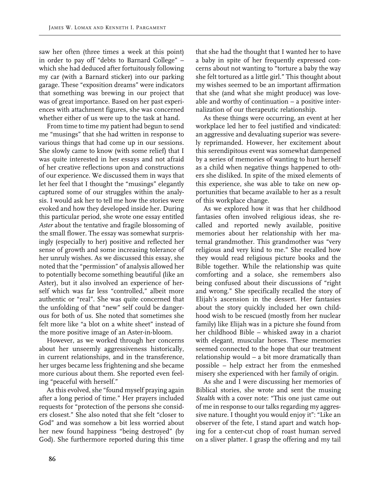saw her often (three times a week at this point) in order to pay off "debts to Barnard College" – which she had deduced after fortuitously following my car (with a Barnard sticker) into our parking garage. These "exposition dreams" were indicators that something was brewing in our project that was of great importance. Based on her past experiences with attachment figures, she was concerned whether either of us were up to the task at hand.

From time to time my patient had begun to send me "musings" that she had written in response to various things that had come up in our sessions. She slowly came to know (with some relief) that I was quite interested in her essays and not afraid of her creative reflections upon and constructions of our experience. We discussed them in ways that let her feel that I thought the "musings" elegantly captured some of our struggles within the analysis. I would ask her to tell me how the stories were evoked and how they developed inside her. During this particular period, she wrote one essay entitled *Aster* about the tentative and fragile blossoming of the small flower. The essay was somewhat surprisingly (especially to her) positive and reflected her sense of growth and some increasing tolerance of her unruly wishes. As we discussed this essay, she noted that the "permission" of analysis allowed her to potentially become something beautiful (like an Aster), but it also involved an experience of herself which was far less "controlled," albeit more authentic or "real". She was quite concerned that the unfolding of that "new" self could be dangerous for both of us. She noted that sometimes she felt more like "a blot on a white sheet" instead of the more positive image of an Aster-in-bloom.

However, as we worked through her concerns about her unseemly aggressiveness historically, in current relationships, and in the transference, her urges became less frightening and she became more curious about them. She reported even feeling "peaceful with herself."

As this evolved, she "found myself praying again after a long period of time." Her prayers included requests for "protection of the persons she considers closest." She also noted that she felt "closer to God" and was somehow a bit less worried about her new found happiness "being destroyed" (by God). She furthermore reported during this time that she had the thought that I wanted her to have a baby in spite of her frequently expressed concerns about not wanting to "torture a baby the way she felt tortured as a little girl." This thought about my wishes seemed to be an important affirmation that she (and what she might produce) was loveable and worthy of continuation – a positive internalization of our therapeutic relationship.

As these things were occurring, an event at her workplace led her to feel justified and vindicated: an aggressive and devaluating superior was severely reprimanded. However, her excitement about this serendipitous event was somewhat dampened by a series of memories of wanting to hurt herself as a child when negative things happened to others she disliked. In spite of the mixed elements of this experience, she was able to take on new opportunities that became available to her as a result of this workplace change.

As we explored how it was that her childhood fantasies often involved religious ideas, she recalled and reported newly available, positive memories about her relationship with her maternal grandmother. This grandmother was "very religious and very kind to me." She recalled how they would read religious picture books and the Bible together. While the relationship was quite comforting and a solace, she remembers also being confused about their discussions of "right and wrong." She specifically recalled the story of Elijah's ascension in the dessert. Her fantasies about the story quickly included her own childhood wish to be rescued (mostly from her nuclear family) like Elijah was in a picture she found from her childhood Bible – whisked away in a chariot with elegant, muscular horses. These memories seemed connected to the hope that our treatment relationship would – a bit more dramatically than possible – help extract her from the enmeshed misery she experienced with her family of origin.

As she and I were discussing her memories of Biblical stories, she wrote and sent the musing *Stealth* with a cover note: "This one just came out of me in response to our talks regarding my aggressive nature. I thought you would enjoy it": "Like an observer of the fete, I stand apart and watch hoping for a center-cut chop of roast human served on a sliver platter. I grasp the offering and my tail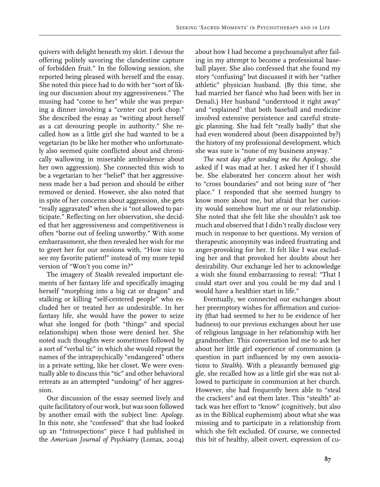quivers with delight beneath my skirt. I devour the offering politely savoring the clandestine capture of forbidden fruit." In the following session, she reported being pleased with herself and the essay. She noted this piece had to do with her "sort of liking our discussion about my aggressiveness." The musing had "come to her" while she was preparing a dinner involving a "center cut pork chop." She described the essay as "writing about herself as a cat devouring people in authority." She recalled how as a little girl she had wanted to be a vegetarian (to be like her mother who unfortunately also seemed quite conflicted about and chronically wallowing in miserable ambivalence about her own aggression). She connected this wish to be a vegetarian to her "belief" that her aggressiveness made her a bad person and should be either removed or denied. However, she also noted that in spite of her concerns about aggression, she gets "really aggravated" when she is "not allowed to participate." Reflecting on her observation, she decided that her aggressiveness and competitiveness is often "borne out of feeling unworthy." With some embarrassment, she then revealed her wish for me to greet her for our sessions with, "How nice to see my favorite patient!" instead of my more tepid version of "Won't you come in?"

The imagery of *Stealth* revealed important elements of her fantasy life and specifically imaging herself "morphing into a big cat or dragon" and stalking or killing "self-centered people" who excluded her or treated her as undesirable. In her fantasy life, she would have the power to seize what she longed for (both "things" and special relationships) when those were denied her. She noted such thoughts were sometimes followed by a sort of "verbal tic" in which she would repeat the names of the intrapsychically "endangered" others in a private setting, like her closet. We were eventually able to discuss this "tic" and other behavioral retreats as an attempted "undoing" of her aggression.

Our discussion of the essay seemed lively and quite facilitatory of our work, but was soon followed by another email with the subject line: *Apology*. In this note, she "confessed" that she had looked up an "Introspections" piece I had published in the *American Journal of Psychiatry* (Lomax, 2004) about how I had become a psychoanalyst after failing in my attempt to become a professional baseball player. She also confessed that she found my story "confusing" but discussed it with her "rather athletic" physician husband. (By this time, she had married her fiancé who had been with her in Denali.) Her husband "understood it right away" and "explained" that both baseball and medicine involved extensive persistence and careful strategic planning. She had felt "really badly" that she had even wondered about (been disappointed by?) the history of my professional development, which she was sure is "none of my business anyway."

*The next day after sending me the* Apology, she asked if I was mad at her. I asked her if I should be. She elaborated her concern about her wish to "cross boundaries" and not being sure of "her place." I responded that she seemed hungry to know more about me, but afraid that her curiosity would somehow hurt me or our relationship. She noted that she felt like she shouldn't ask too much and observed that I didn't really disclose very much in response to her questions. My version of therapeutic anonymity was indeed frustrating and anger-provoking for her. It felt like I was excluding her and that provoked her doubts about her desirability. Our exchange led her to acknowledge a wish she found embarrassing to reveal: "That I could start over and you could be my dad and I would have a healthier start in life."

Eventually, we connected our exchanges about her preemptory wishes for affirmation and curiosity (that had seemed to her to be evidence of her badness) to our previous exchanges about her use of religious language in her relationship with her grandmother. This conversation led me to ask her about her little girl experience of communion (a question in part influenced by my own associations to *Stealth*). With a pleasantly bemused giggle, she recalled how as a little girl she was not allowed to participate in communion at her church. However, she had frequently been able to "steal the crackers" and eat them later. This "stealth" attack was her effort to "know" (cognitively, but also as in the Biblical euphemism) about what she was missing and to participate in a relationship from which she felt excluded. Of course, we connected this bit of healthy, albeit covert, expression of cu-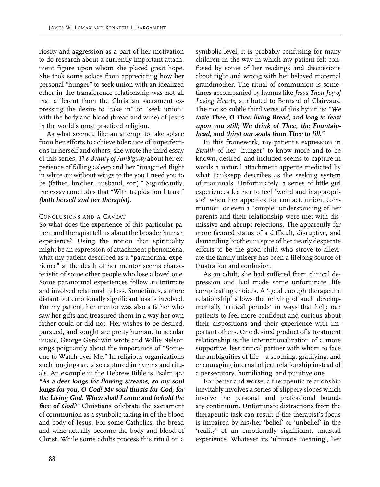riosity and aggression as a part of her motivation to do research about a currently important attachment figure upon whom she placed great hope. She took some solace from appreciating how her personal "hunger" to seek union with an idealized other in the transference relationship was not all that different from the Christian sacrament expressing the desire to "take in" or "seek union" with the body and blood (bread and wine) of Jesus in the world's most practiced religion.

As what seemed like an attempt to take solace from her efforts to achieve tolerance of imperfections in herself and others, she wrote the third essay of this series, *The Beauty of Ambiguity* about her experience of falling asleep and her "imagined flight in white air without wings to the you I need you to be (father, brother, husband, son)." Significantly, the essay concludes that "With trepidation I trust" **(both herself and her therapist).**

#### Conclusions and a Caveat

So what does the experience of this particular patient and therapist tell us about the broader human experience? Using the notion that spirituality might be an expression of attachment phenomena, what my patient described as a "paranormal experience" at the death of her mentor seems characteristic of some other people who lose a loved one. Some paranormal experiences follow an intimate and involved relationship loss. Sometimes, a more distant but emotionally significant loss is involved. For my patient, her mentor was also a father who saw her gifts and treasured them in a way her own father could or did not. Her wishes to be desired, pursued, and sought are pretty human. In secular music, George Gershwin wrote and Willie Nelson sings poignantly about the importance of "Someone to Watch over Me." In religious organizations such longings are also captured in hymns and rituals. An example in the Hebrew Bible is Psalm 42: **"As a deer longs for flowing streams, so my soul longs for you, O God! My soul thirsts for God, for the Living God. When shall I come and behold the face of God?"** Christians celebrate the sacrament of communion as a symbolic taking in of the blood and body of Jesus. For some Catholics, the bread and wine actually become the body and blood of Christ. While some adults process this ritual on a

symbolic level, it is probably confusing for many children in the way in which my patient felt confused by some of her readings and discussions about right and wrong with her beloved maternal grandmother. The ritual of communion is sometimes accompanied by hymns like *Jesus Thou Joy of Loving Hearts*, attributed to Bernard of Clairvaux. The not so subtle third verse of this hymn is: **"We taste Thee, O Thou living Bread, and long to feast upon you still; We drink of Thee, the Fountainhead, and thirst our souls from Thee to fill."**

In this framework, my patient's expression in *Stealth* of her "hunger" to know more and to be known, desired, and included seems to capture in words a natural attachment appetite mediated by what Panksepp describes as the seeking system of mammals. Unfortunately, a series of little girl experiences led her to feel "weird and inappropriate" when her appetites for contact, union, communion, or even a "simple" understanding of her parents and their relationship were met with dismissive and abrupt rejections. The apparently far more favored status of a difficult, disruptive, and demanding brother in spite of her nearly desperate efforts to be the good child who strove to alleviate the family misery has been a lifelong source of frustration and confusion.

As an adult, she had suffered from clinical depression and had made some unfortunate, life complicating choices. A 'good enough therapeutic relationship' allows the reliving of such developmentally 'critical periods' in ways that help our patients to feel more confident and curious about their dispositions and their experience with important others. One desired product of a treatment relationship is the internationalization of a more supportive, less critical partner with whom to face the ambiguities of life – a soothing, gratifying, and encouraging internal object relationship instead of a persecutory, humiliating, and punitive one.

For better and worse, a therapeutic relationship inevitably involves a series of slippery slopes which involve the personal and professional boundary continuum. Unfortunate distractions from the therapeutic task can result if the therapist's focus is impaired by his/her 'belief' or 'unbelief' in the 'reality' of an emotionally significant, unusual experience. Whatever its 'ultimate meaning', her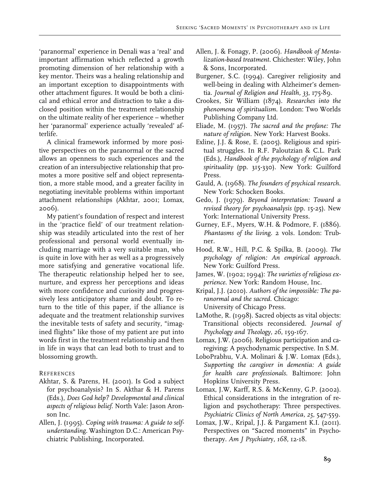'paranormal' experience in Denali was a 'real' and important affirmation which reflected a growth promoting dimension of her relationship with a key mentor. Theirs was a healing relationship and an important exception to disappointments with other attachment figures. It would be both a clinical and ethical error and distraction to take a disclosed position within the treatment relationship on the ultimate reality of her experience – whether her 'paranormal' experience actually 'revealed' afterlife.

A clinical framework informed by more positive perspectives on the paranormal or the sacred allows an openness to such experiences and the creation of an intersubjective relationship that promotes a more positive self and object representation, a more stable mood, and a greater facility in negotiating inevitable problems within important attachment relationships (Akhtar, 2001; Lomax, 2006).

My patient's foundation of respect and interest in the 'practice field' of our treatment relationship was steadily articulated into the rest of her professional and personal world eventually including marriage with a very suitable man, who is quite in love with her as well as a progressively more satisfying and generative vocational life. The therapeutic relationship helped her to see, nurture, and express her perceptions and ideas with more confidence and curiosity and progressively less anticipatory shame and doubt. To return to the title of this paper, if the alliance is adequate and the treatment relationship survives the inevitable tests of safety and security, "imagined flights" like those of my patient are put into words first in the treatment relationship and then in life in ways that can lead both to trust and to blossoming growth.

## **REFERENCES**

- Akhtar, S. & Parens, H. (2001). Is God a subject for psychoanalysis? In S. Akthar & H. Parens (Eds.), *Does God help? Developmental and clinical aspects of religious belief*. North Vale: Jason Aronson Inc.
- Allen, J. (1995). *Coping with trauma: A guide to selfunderstanding.* Washington D.C.: American Psychiatric Publishing, Incorporated.
- Allen, J. & Fonagy, P. (2006). *Handbook of Mentalization-based treatment*. Chichester: Wiley, John & Sons, Incorporated.
- Burgener, S.C. (1994). Caregiver religiosity and well-being in dealing with Alzheimer's dementia. *Journal of Religion and Health, 33*, 175-89.
- Crookes, Sir William (1874). *Researches into the phenomena of spiritualism.* London: Two Worlds Publishing Company Ltd.
- Eliade, M. (1957). *The sacred and the profane: The nature of religion*. New York: Harvest Books.
- Exline, J.J. & Rose, E. (2005). Religious and spiritual struggles. In R.F. Paloutzian & C.L. Park (Eds.), *Handbook of the psychology of religion and spirituality* (pp. 315-330). New York: Guilford Press.
- Gauld, A. (1968). *The founders of psychical research.* New York: Schocken Books.
- Gedo, J. (1979). *Beyond interpretation: Toward a revised theory for psychoanalysis* (pp. 15-25). New York: International University Press.
- Gurney, E.F., Myers, W.H. & Podmore, F. (1886). *Phantasms of the living*. 2 vols. London: Trubner.
- Hood, R.W., Hill, P.C. & Spilka, B. (2009). *The psychology of religion: An empirical approach.* New York: Guilford Press.
- James, W. (1902; 1994): *The varieties of religious experience*. New York: Random House, Inc.
- Kripal, J.J. (2010). *Authors of the impossible: The paranormal and the sacred*. Chicago: University of Chicago Press.
- LaMothe, R. (1998). Sacred objects as vital objects: Transitional objects reconsidered. *Journal of Psychology and Theology, 26*, 159-167.
- Lomax, J.W. (2006). Religious participation and caregiving: A psychodynamic perspective. In S.M.
- LoboPrabhu, V.A. Molinari & J.W. Lomax (Eds.), *Supporting the caregiver in dementia: A guide for health care professionals*. Baltimore: John Hopkins University Press.
- Lomax, J.W, Karff, R.S. & McKenny, G.P. (2002). Ethical considerations in the integration of religion and psychotherapy: Three perspectives. *Psychiatric Clinics of North America, 25*, 547-559.
- Lomax, J.W., Kripal, J.J. & Pargament K.I. (2011). Perspectives on "Sacred moments" in Psychotherapy. *Am J Psychiatr*y, *168*, 12-18.